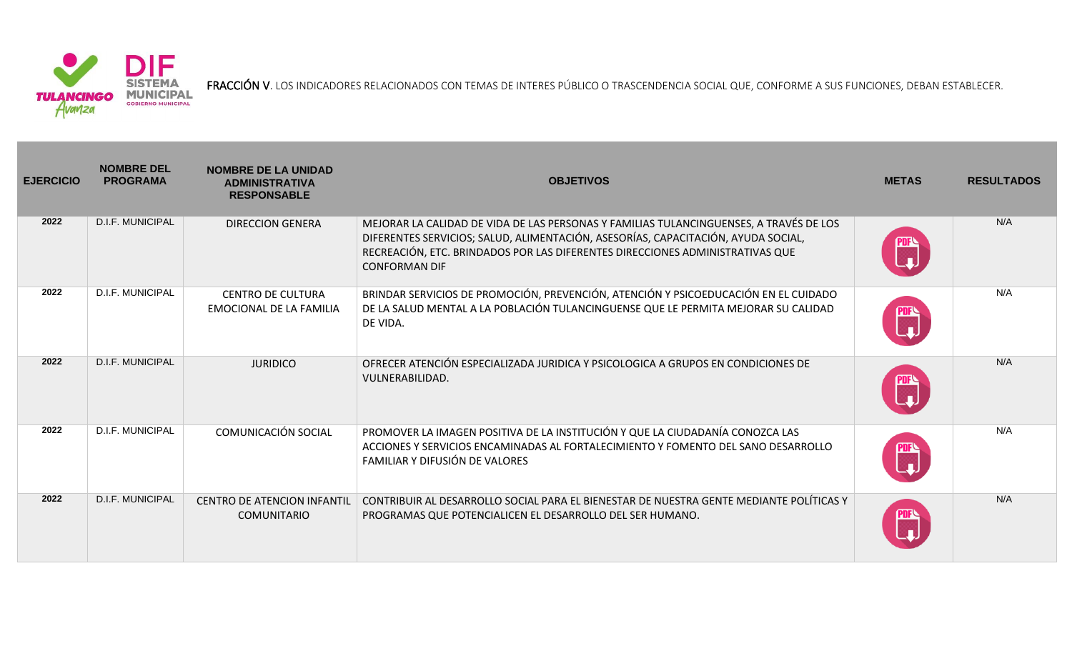

FRACCIÓN V. LOS INDICADORES RELACIONADOS CON TEMAS DE INTERES PÚBLICO O TRASCENDENCIA SOCIAL QUE, CONFORME A SUS FUNCIONES, DEBAN ESTABLECER.

| <b>EJERCICIO</b> | <b>NOMBRE DEL</b><br><b>PROGRAMA</b> | <b>NOMBRE DE LA UNIDAD</b><br><b>ADMINISTRATIVA</b><br><b>RESPONSABLE</b> | <b>OBJETIVOS</b>                                                                                                                                                                                                                                                                     | <b>METAS</b>           | <b>RESULTADOS</b> |
|------------------|--------------------------------------|---------------------------------------------------------------------------|--------------------------------------------------------------------------------------------------------------------------------------------------------------------------------------------------------------------------------------------------------------------------------------|------------------------|-------------------|
| 2022             | D.I.F. MUNICIPAL                     | <b>DIRECCION GENERA</b>                                                   | MEJORAR LA CALIDAD DE VIDA DE LAS PERSONAS Y FAMILIAS TULANCINGUENSES, A TRAVÉS DE LOS<br>DIFERENTES SERVICIOS; SALUD, ALIMENTACIÓN, ASESORÍAS, CAPACITACIÓN, AYUDA SOCIAL,<br>RECREACIÓN, ETC. BRINDADOS POR LAS DIFERENTES DIRECCIONES ADMINISTRATIVAS QUE<br><b>CONFORMAN DIF</b> |                        | N/A               |
| 2022             | D.I.F. MUNICIPAL                     | <b>CENTRO DE CULTURA</b><br><b>EMOCIONAL DE LA FAMILIA</b>                | BRINDAR SERVICIOS DE PROMOCIÓN, PREVENCIÓN, ATENCIÓN Y PSICOEDUCACIÓN EN EL CUIDADO<br>DE LA SALUD MENTAL A LA POBLACIÓN TULANCINGUENSE QUE LE PERMITA MEJORAR SU CALIDAD<br>DE VIDA.                                                                                                | PDF <sup>Q</sup><br> - | N/A               |
| 2022             | <b>D.I.F. MUNICIPAL</b>              | <b>JURIDICO</b>                                                           | OFRECER ATENCIÓN ESPECIALIZADA JURIDICA Y PSICOLOGICA A GRUPOS EN CONDICIONES DE<br>VULNERABILIDAD.                                                                                                                                                                                  |                        | N/A               |
| 2022             | D.I.F. MUNICIPAL                     | COMUNICACIÓN SOCIAL                                                       | PROMOVER LA IMAGEN POSITIVA DE LA INSTITUCIÓN Y QUE LA CIUDADANÍA CONOZCA LAS<br>ACCIONES Y SERVICIOS ENCAMINADAS AL FORTALECIMIENTO Y FOMENTO DEL SANO DESARROLLO<br>FAMILIAR Y DIFUSIÓN DE VALORES                                                                                 | PIPA<br>In             | N/A               |
| 2022             | <b>D.I.F. MUNICIPAL</b>              | <b>CENTRO DE ATENCION INFANTIL</b><br><b>COMUNITARIO</b>                  | CONTRIBUIR AL DESARROLLO SOCIAL PARA EL BIENESTAR DE NUESTRA GENTE MEDIANTE POLÍTICAS Y<br>PROGRAMAS QUE POTENCIALICEN EL DESARROLLO DEL SER HUMANO.                                                                                                                                 |                        | N/A               |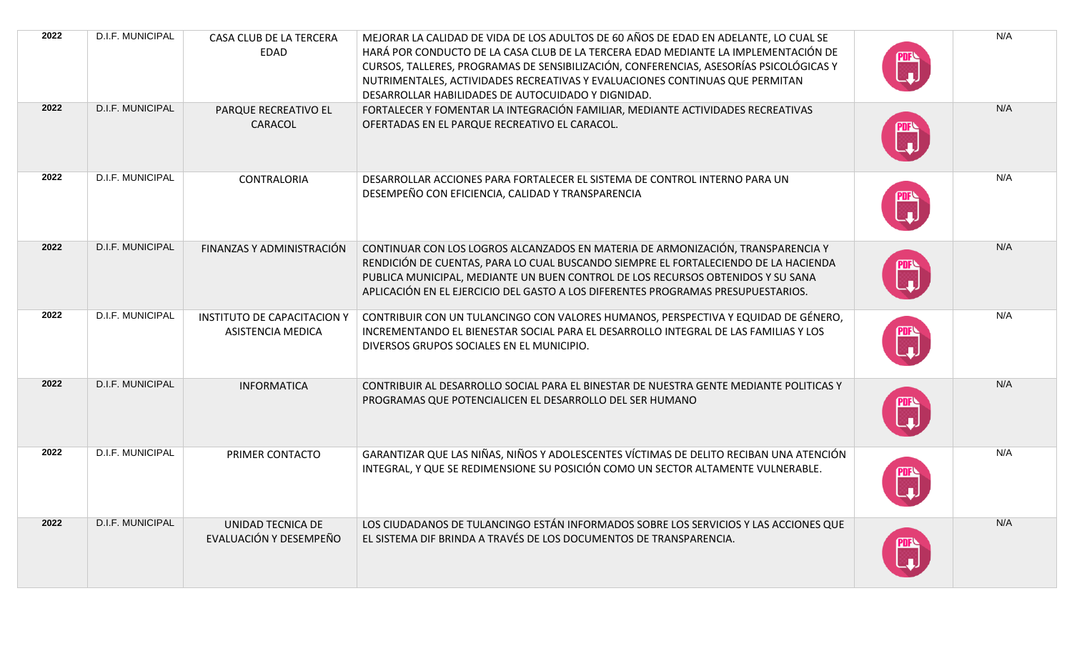| 2022 | D.I.F. MUNICIPAL        | CASA CLUB DE LA TERCERA<br>EDAD                                | MEJORAR LA CALIDAD DE VIDA DE LOS ADULTOS DE 60 AÑOS DE EDAD EN ADELANTE, LO CUAL SE<br>HARÁ POR CONDUCTO DE LA CASA CLUB DE LA TERCERA EDAD MEDIANTE LA IMPLEMENTACIÓN DE<br>CURSOS, TALLERES, PROGRAMAS DE SENSIBILIZACIÓN, CONFERENCIAS, ASESORÍAS PSICOLÓGICAS Y<br>NUTRIMENTALES, ACTIVIDADES RECREATIVAS Y EVALUACIONES CONTINUAS QUE PERMITAN<br>DESARROLLAR HABILIDADES DE AUTOCUIDADO Y DIGNIDAD. | N/A |
|------|-------------------------|----------------------------------------------------------------|------------------------------------------------------------------------------------------------------------------------------------------------------------------------------------------------------------------------------------------------------------------------------------------------------------------------------------------------------------------------------------------------------------|-----|
| 2022 | D.I.F. MUNICIPAL        | PARQUE RECREATIVO EL<br>CARACOL                                | FORTALECER Y FOMENTAR LA INTEGRACIÓN FAMILIAR, MEDIANTE ACTIVIDADES RECREATIVAS<br>OFERTADAS EN EL PARQUE RECREATIVO EL CARACOL.                                                                                                                                                                                                                                                                           | N/A |
| 2022 | D.I.F. MUNICIPAL        | <b>CONTRALORIA</b>                                             | DESARROLLAR ACCIONES PARA FORTALECER EL SISTEMA DE CONTROL INTERNO PARA UN<br>DESEMPEÑO CON EFICIENCIA, CALIDAD Y TRANSPARENCIA                                                                                                                                                                                                                                                                            | N/A |
| 2022 | <b>D.I.F. MUNICIPAL</b> | FINANZAS Y ADMINISTRACIÓN                                      | CONTINUAR CON LOS LOGROS ALCANZADOS EN MATERIA DE ARMONIZACIÓN, TRANSPARENCIA Y<br>RENDICIÓN DE CUENTAS, PARA LO CUAL BUSCANDO SIEMPRE EL FORTALECIENDO DE LA HACIENDA<br>PUBLICA MUNICIPAL, MEDIANTE UN BUEN CONTROL DE LOS RECURSOS OBTENIDOS Y SU SANA<br>APLICACIÓN EN EL EJERCICIO DEL GASTO A LOS DIFERENTES PROGRAMAS PRESUPUESTARIOS.                                                              | N/A |
| 2022 | D.I.F. MUNICIPAL        | <b>INSTITUTO DE CAPACITACION Y</b><br><b>ASISTENCIA MEDICA</b> | CONTRIBUIR CON UN TULANCINGO CON VALORES HUMANOS, PERSPECTIVA Y EQUIDAD DE GÉNERO,<br>INCREMENTANDO EL BIENESTAR SOCIAL PARA EL DESARROLLO INTEGRAL DE LAS FAMILIAS Y LOS<br>DIVERSOS GRUPOS SOCIALES EN EL MUNICIPIO.                                                                                                                                                                                     | N/A |
| 2022 | D.I.F. MUNICIPAL        | <b>INFORMATICA</b>                                             | CONTRIBUIR AL DESARROLLO SOCIAL PARA EL BINESTAR DE NUESTRA GENTE MEDIANTE POLITICAS Y<br>PROGRAMAS QUE POTENCIALICEN EL DESARROLLO DEL SER HUMANO                                                                                                                                                                                                                                                         | N/A |
| 2022 | D.I.F. MUNICIPAL        | PRIMER CONTACTO                                                | GARANTIZAR QUE LAS NIÑAS, NIÑOS Y ADOLESCENTES VÍCTIMAS DE DELITO RECIBAN UNA ATENCIÓN<br>INTEGRAL, Y QUE SE REDIMENSIONE SU POSICIÓN COMO UN SECTOR ALTAMENTE VULNERABLE.                                                                                                                                                                                                                                 | N/A |
| 2022 | <b>D.I.F. MUNICIPAL</b> | UNIDAD TECNICA DE<br>EVALUACIÓN Y DESEMPEÑO                    | LOS CIUDADANOS DE TULANCINGO ESTÁN INFORMADOS SOBRE LOS SERVICIOS Y LAS ACCIONES QUE<br>EL SISTEMA DIF BRINDA A TRAVÉS DE LOS DOCUMENTOS DE TRANSPARENCIA.                                                                                                                                                                                                                                                 | N/A |